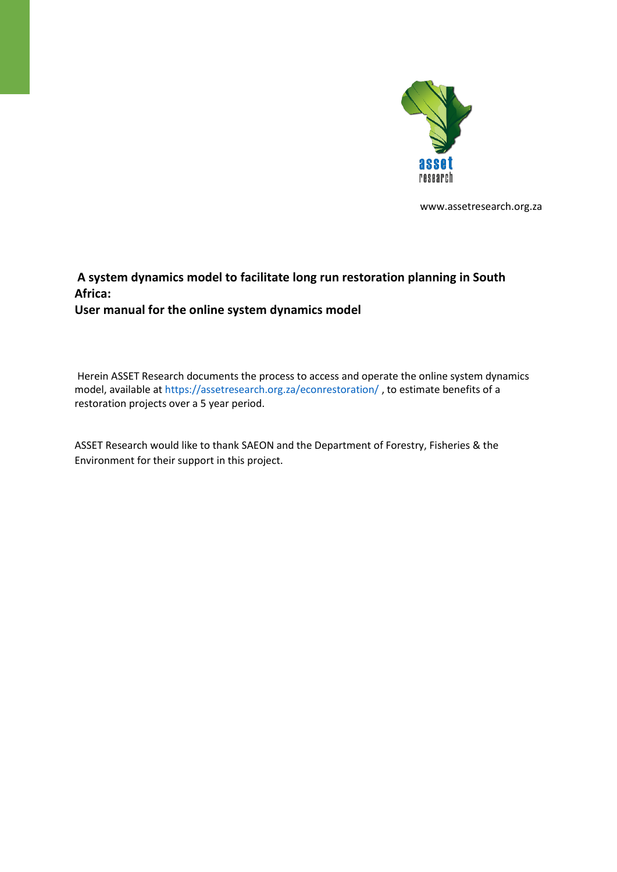

www.assetresearch.org.za

#### **A system dynamics model to facilitate long run restoration planning in South Africa: User manual for the online system dynamics model**

Herein ASSET Research documents the process to access and operate the online system dynamics model, available at https://assetresearch.org.za/econrestoration/ , to estimate benefits of a restoration projects over a 5 year period.

ASSET Research would like to thank SAEON and the Department of Forestry, Fisheries & the Environment for their support in this project.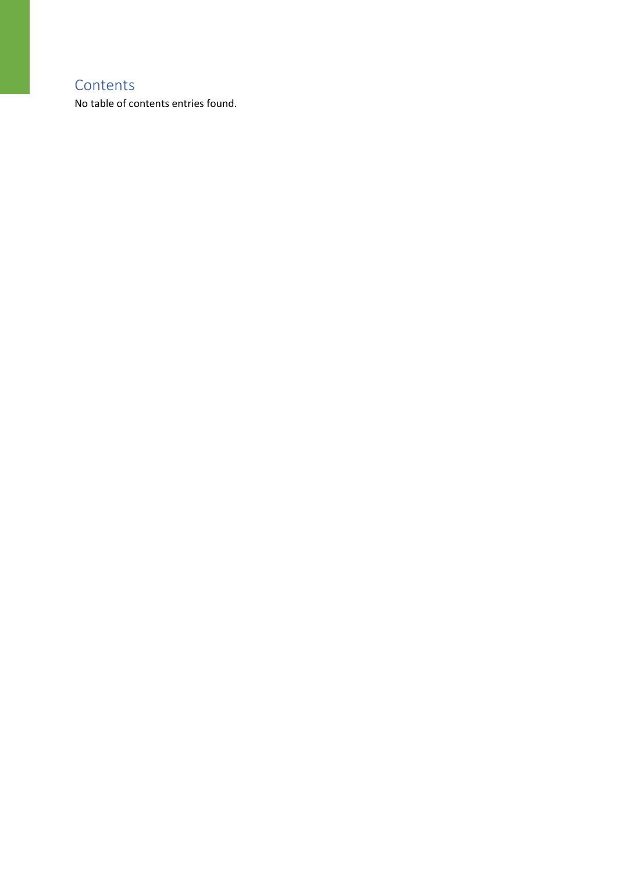#### **Contents**

No table of contents entries found.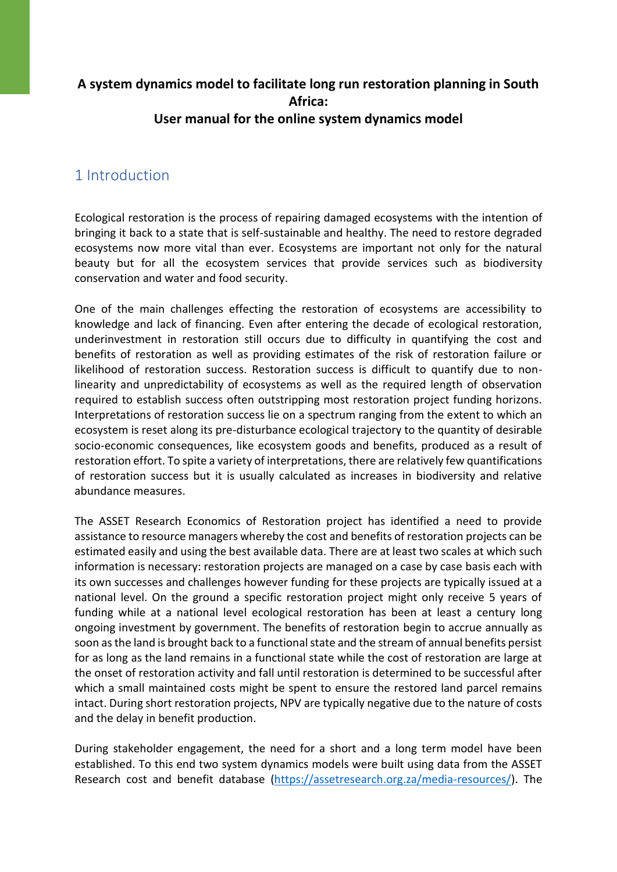#### **A system dynamics model to facilitate long run restoration planning in South Africa: User manual for the online system dynamics model**

## 1 Introduction

Ecological restoration is the process of repairing damaged ecosystems with the intention of bringing it back to a state that is self-sustainable and healthy. The need to restore degraded ecosystems now more vital than ever. Ecosystems are important not only for the natural beauty but for all the ecosystem services that provide services such as biodiversity conservation and water and food security.

One of the main challenges effecting the restoration of ecosystems are accessibility to knowledge and lack of financing. Even after entering the decade of ecological restoration, underinvestment in restoration still occurs due to difficulty in quantifying the cost and benefits of restoration as well as providing estimates of the risk of restoration failure or likelihood of restoration success. Restoration success is difficult to quantify due to nonlinearity and unpredictability of ecosystems as well as the required length of observation required to establish success often outstripping most restoration project funding horizons. Interpretations of restoration success lie on a spectrum ranging from the extent to which an ecosystem is reset along its pre-disturbance ecological trajectory to the quantity of desirable socio-economic consequences, like ecosystem goods and benefits, produced as a result of restoration effort. To spite a variety of interpretations, there are relatively few quantifications of restoration success but it is usually calculated as increases in biodiversity and relative abundance measures.

The ASSET Research Economics of Restoration project has identified a need to provide assistance to resource managers whereby the cost and benefits of restoration projects can be estimated easily and using the best available data. There are at least two scales at which such information is necessary: restoration projects are managed on a case by case basis each with its own successes and challenges however funding for these projects are typically issued at a national level. On the ground a specific restoration project might only receive 5 years of funding while at a national level ecological restoration has been at least a century long ongoing investment by government. The benefits of restoration begin to accrue annually as soon as the land is brought back to a functional state and the stream of annual benefits persist for as long as the land remains in a functional state while the cost of restoration are large at the onset of restoration activity and fall until restoration is determined to be successful after which a small maintained costs might be spent to ensure the restored land parcel remains intact. During short restoration projects, NPV are typically negative due to the nature of costs and the delay in benefit production.

During stakeholder engagement, the need for a short and a long term model have been established. To this end two system dynamics models were built using data from the ASSET Research cost and benefit database [\(https://assetresearch.org.za/media-resources/\)](https://assetresearch.org.za/media-resources/). The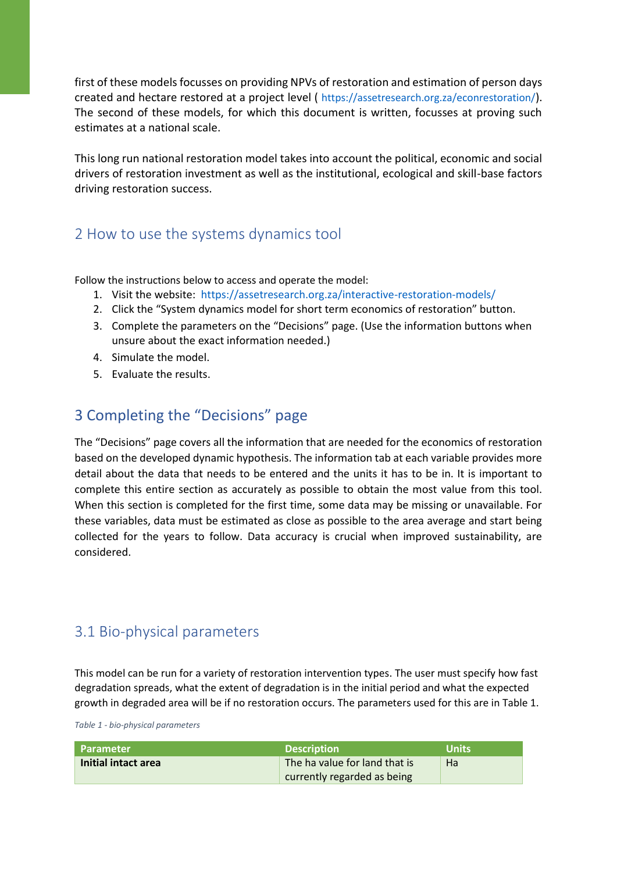first of these models focusses on providing NPVs of restoration and estimation of person days created and hectare restored at a project level ( https://assetresearch.org.za/econrestoration/). The second of these models, for which this document is written, focusses at proving such estimates at a national scale.

This long run national restoration model takes into account the political, economic and social drivers of restoration investment as well as the institutional, ecological and skill-base factors driving restoration success.

#### 2 How to use the systems dynamics tool

Follow the instructions below to access and operate the model:

- 1. Visit the website: https://assetresearch.org.za/interactive-restoration-models/
- 2. Click the "System dynamics model for short term economics of restoration" button.
- 3. Complete the parameters on the "Decisions" page. (Use the information buttons when unsure about the exact information needed.)
- 4. Simulate the model.
- 5. Evaluate the results.

### 3 Completing the "Decisions" page

The "Decisions" page covers all the information that are needed for the economics of restoration based on the developed dynamic hypothesis. The information tab at each variable provides more detail about the data that needs to be entered and the units it has to be in. It is important to complete this entire section as accurately as possible to obtain the most value from this tool. When this section is completed for the first time, some data may be missing or unavailable. For these variables, data must be estimated as close as possible to the area average and start being collected for the years to follow. Data accuracy is crucial when improved sustainability, are considered.

#### 3.1 Bio-physical parameters

This model can be run for a variety of restoration intervention types. The user must specify how fast degradation spreads, what the extent of degradation is in the initial period and what the expected growth in degraded area will be if no restoration occurs. The parameters used for this are in Table 1.

*Table 1 - bio-physical parameters*

| <b>Parameter</b>    | <b>Description</b>            | <b>Units</b> |
|---------------------|-------------------------------|--------------|
| Initial intact area | The ha value for land that is | Ha           |
|                     | currently regarded as being   |              |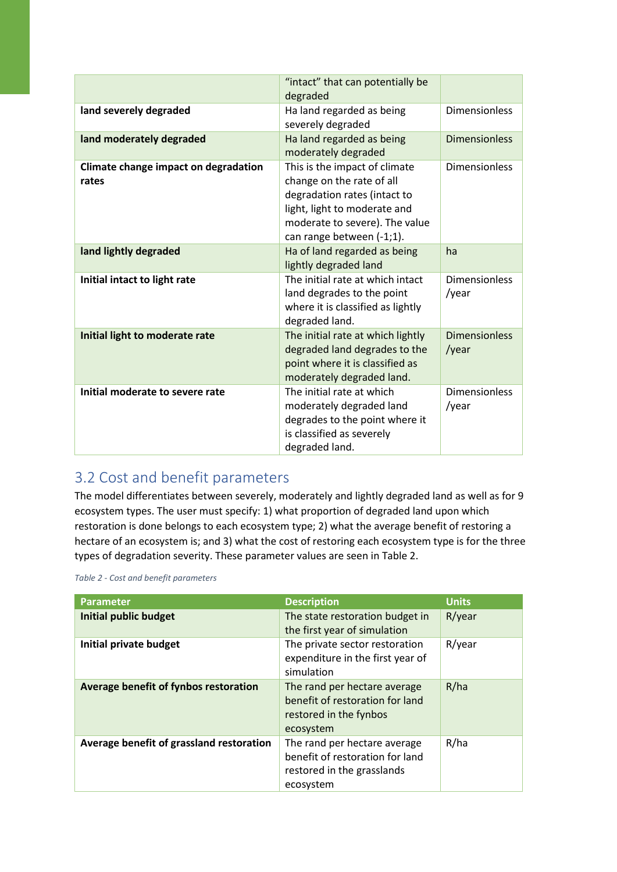|                                               | "intact" that can potentially be<br>degraded                                                                                                                                              |                               |
|-----------------------------------------------|-------------------------------------------------------------------------------------------------------------------------------------------------------------------------------------------|-------------------------------|
| land severely degraded                        | Ha land regarded as being<br>severely degraded                                                                                                                                            | <b>Dimensionless</b>          |
| land moderately degraded                      | Ha land regarded as being<br>moderately degraded                                                                                                                                          | <b>Dimensionless</b>          |
| Climate change impact on degradation<br>rates | This is the impact of climate<br>change on the rate of all<br>degradation rates (intact to<br>light, light to moderate and<br>moderate to severe). The value<br>can range between (-1;1). | <b>Dimensionless</b>          |
| land lightly degraded                         | Ha of land regarded as being<br>lightly degraded land                                                                                                                                     | ha                            |
| Initial intact to light rate                  | The initial rate at which intact<br>land degrades to the point<br>where it is classified as lightly<br>degraded land.                                                                     | <b>Dimensionless</b><br>/year |
| Initial light to moderate rate                | The initial rate at which lightly<br>degraded land degrades to the<br>point where it is classified as<br>moderately degraded land.                                                        | <b>Dimensionless</b><br>/year |
| Initial moderate to severe rate               | The initial rate at which<br>moderately degraded land<br>degrades to the point where it<br>is classified as severely<br>degraded land.                                                    | <b>Dimensionless</b><br>/year |

# 3.2 Cost and benefit parameters

The model differentiates between severely, moderately and lightly degraded land as well as for 9 ecosystem types. The user must specify: 1) what proportion of degraded land upon which restoration is done belongs to each ecosystem type; 2) what the average benefit of restoring a hectare of an ecosystem is; and 3) what the cost of restoring each ecosystem type is for the three types of degradation severity. These parameter values are seen in Table 2.

| Table 2 - Cost and benefit parameters |  |
|---------------------------------------|--|
|---------------------------------------|--|

| <b>Parameter</b>                         | <b>Description</b>                                                                                         | <b>Units</b> |
|------------------------------------------|------------------------------------------------------------------------------------------------------------|--------------|
| <b>Initial public budget</b>             | The state restoration budget in<br>the first year of simulation                                            | R/year       |
| Initial private budget                   | The private sector restoration<br>expenditure in the first year of<br>simulation                           | R/year       |
| Average benefit of fynbos restoration    | The rand per hectare average<br>benefit of restoration for land<br>restored in the fynbos<br>ecosystem     | R/ha         |
| Average benefit of grassland restoration | The rand per hectare average<br>benefit of restoration for land<br>restored in the grasslands<br>ecosystem | R/ha         |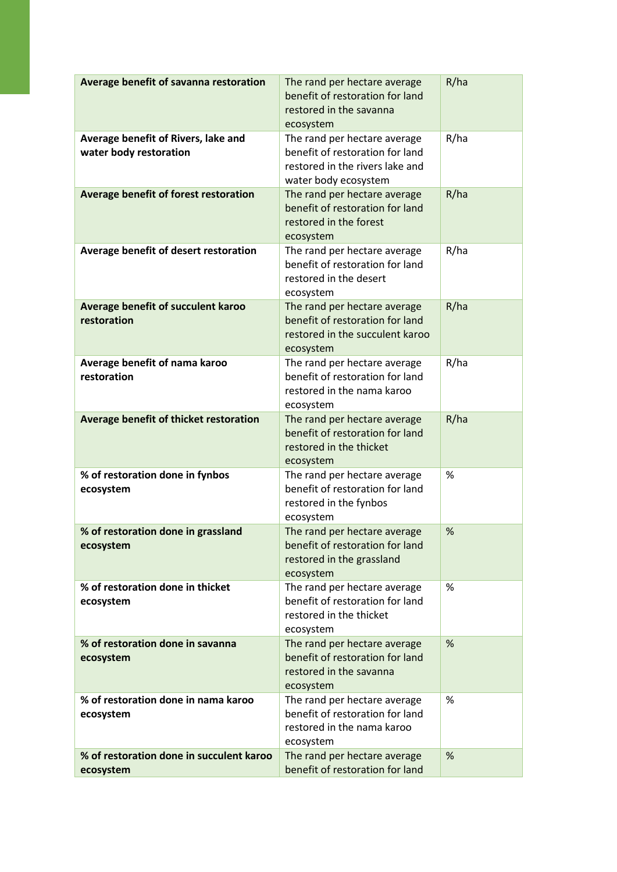| Average benefit of savanna restoration                        | The rand per hectare average<br>benefit of restoration for land<br>restored in the savanna<br>ecosystem                    | R/ha |
|---------------------------------------------------------------|----------------------------------------------------------------------------------------------------------------------------|------|
| Average benefit of Rivers, lake and<br>water body restoration | The rand per hectare average<br>benefit of restoration for land<br>restored in the rivers lake and<br>water body ecosystem | R/ha |
| Average benefit of forest restoration                         | The rand per hectare average<br>benefit of restoration for land<br>restored in the forest<br>ecosystem                     | R/ha |
| Average benefit of desert restoration                         | The rand per hectare average<br>benefit of restoration for land<br>restored in the desert<br>ecosystem                     | R/ha |
| Average benefit of succulent karoo<br>restoration             | The rand per hectare average<br>benefit of restoration for land<br>restored in the succulent karoo<br>ecosystem            | R/ha |
| Average benefit of nama karoo<br>restoration                  | The rand per hectare average<br>benefit of restoration for land<br>restored in the nama karoo<br>ecosystem                 | R/ha |
| Average benefit of thicket restoration                        | The rand per hectare average<br>benefit of restoration for land<br>restored in the thicket<br>ecosystem                    | R/ha |
| % of restoration done in fynbos<br>ecosystem                  | The rand per hectare average<br>benefit of restoration for land<br>restored in the fynbos<br>ecosystem                     | %    |
| % of restoration done in grassland<br>ecosystem               | The rand per hectare average<br>benefit of restoration for land<br>restored in the grassland<br>ecosystem                  | %    |
| % of restoration done in thicket<br>ecosystem                 | The rand per hectare average<br>benefit of restoration for land<br>restored in the thicket<br>ecosystem                    | $\%$ |
| % of restoration done in savanna<br>ecosystem                 | The rand per hectare average<br>benefit of restoration for land<br>restored in the savanna<br>ecosystem                    | %    |
| % of restoration done in nama karoo<br>ecosystem              | The rand per hectare average<br>benefit of restoration for land<br>restored in the nama karoo<br>ecosystem                 | %    |
| % of restoration done in succulent karoo<br>ecosystem         | The rand per hectare average<br>benefit of restoration for land                                                            | %    |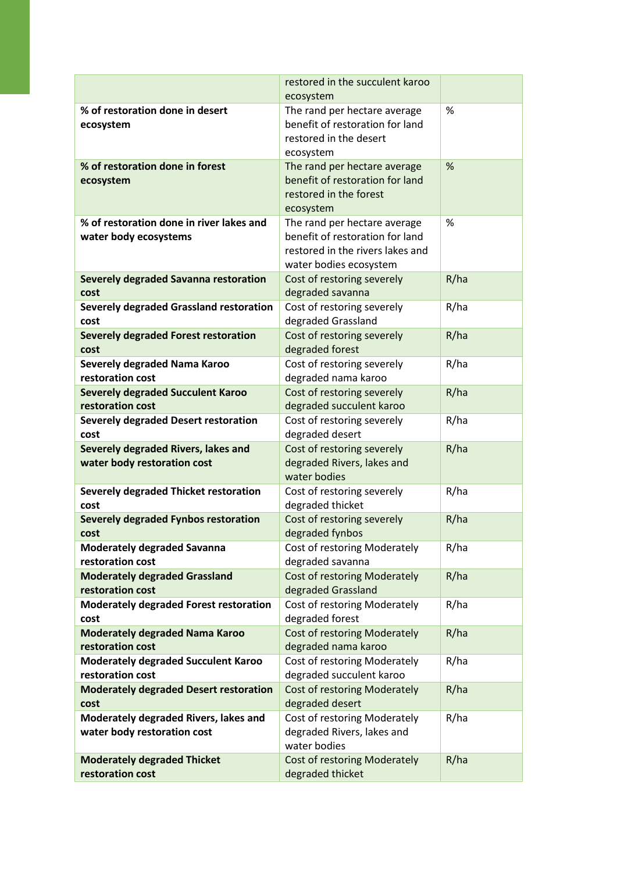|                                                                      | restored in the succulent karoo<br>ecosystem                                                                                  |      |
|----------------------------------------------------------------------|-------------------------------------------------------------------------------------------------------------------------------|------|
| % of restoration done in desert<br>ecosystem                         | The rand per hectare average<br>benefit of restoration for land<br>restored in the desert<br>ecosystem                        | %    |
| % of restoration done in forest<br>ecosystem                         | The rand per hectare average<br>benefit of restoration for land<br>restored in the forest<br>ecosystem                        | %    |
| % of restoration done in river lakes and<br>water body ecosystems    | The rand per hectare average<br>benefit of restoration for land<br>restored in the rivers lakes and<br>water bodies ecosystem | %    |
| Severely degraded Savanna restoration<br>cost                        | Cost of restoring severely<br>degraded savanna                                                                                | R/ha |
| Severely degraded Grassland restoration<br>cost                      | Cost of restoring severely<br>degraded Grassland                                                                              | R/ha |
| <b>Severely degraded Forest restoration</b><br>cost                  | Cost of restoring severely<br>degraded forest                                                                                 | R/ha |
| Severely degraded Nama Karoo<br>restoration cost                     | Cost of restoring severely<br>degraded nama karoo                                                                             | R/ha |
| <b>Severely degraded Succulent Karoo</b><br>restoration cost         | Cost of restoring severely<br>degraded succulent karoo                                                                        | R/ha |
| <b>Severely degraded Desert restoration</b><br>cost                  | Cost of restoring severely<br>degraded desert                                                                                 | R/ha |
| Severely degraded Rivers, lakes and<br>water body restoration cost   | Cost of restoring severely<br>degraded Rivers, lakes and<br>water bodies                                                      | R/ha |
| Severely degraded Thicket restoration<br>cost                        | Cost of restoring severely<br>degraded thicket                                                                                | R/ha |
| Severely degraded Fynbos restoration<br>cost                         | Cost of restoring severely<br>degraded fynbos                                                                                 | R/ha |
| <b>Moderately degraded Savanna</b><br>restoration cost               | Cost of restoring Moderately<br>degraded savanna                                                                              | R/ha |
| <b>Moderately degraded Grassland</b><br>restoration cost             | <b>Cost of restoring Moderately</b><br>degraded Grassland                                                                     | R/ha |
| <b>Moderately degraded Forest restoration</b><br>cost                | Cost of restoring Moderately<br>degraded forest                                                                               | R/ha |
| <b>Moderately degraded Nama Karoo</b><br>restoration cost            | <b>Cost of restoring Moderately</b><br>degraded nama karoo                                                                    | R/ha |
| <b>Moderately degraded Succulent Karoo</b><br>restoration cost       | Cost of restoring Moderately<br>degraded succulent karoo                                                                      | R/ha |
| <b>Moderately degraded Desert restoration</b><br>cost                | <b>Cost of restoring Moderately</b><br>degraded desert                                                                        | R/ha |
| Moderately degraded Rivers, lakes and<br>water body restoration cost | Cost of restoring Moderately<br>degraded Rivers, lakes and<br>water bodies                                                    | R/ha |
| <b>Moderately degraded Thicket</b><br>restoration cost               | <b>Cost of restoring Moderately</b><br>degraded thicket                                                                       | R/ha |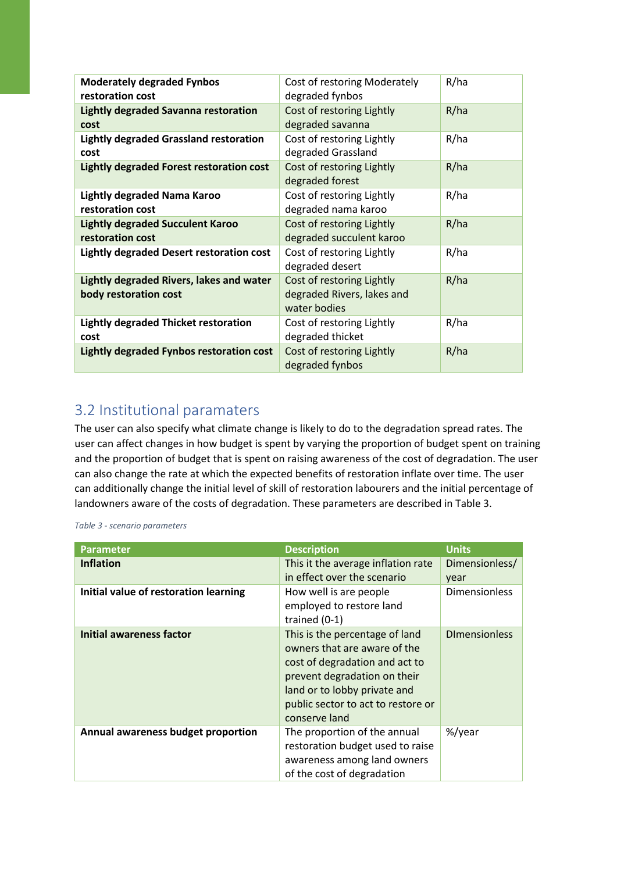| <b>Moderately degraded Fynbos</b><br>restoration cost             | Cost of restoring Moderately<br>degraded fynbos                         | R/ha |
|-------------------------------------------------------------------|-------------------------------------------------------------------------|------|
| Lightly degraded Savanna restoration<br>cost                      | Cost of restoring Lightly<br>degraded savanna                           | R/ha |
| <b>Lightly degraded Grassland restoration</b><br>cost             | Cost of restoring Lightly<br>degraded Grassland                         | R/ha |
| <b>Lightly degraded Forest restoration cost</b>                   | Cost of restoring Lightly<br>degraded forest                            | R/ha |
| Lightly degraded Nama Karoo<br>restoration cost                   | Cost of restoring Lightly<br>degraded nama karoo                        | R/ha |
| <b>Lightly degraded Succulent Karoo</b><br>restoration cost       | Cost of restoring Lightly<br>degraded succulent karoo                   | R/ha |
| Lightly degraded Desert restoration cost                          | Cost of restoring Lightly<br>degraded desert                            | R/ha |
| Lightly degraded Rivers, lakes and water<br>body restoration cost | Cost of restoring Lightly<br>degraded Rivers, lakes and<br>water bodies | R/ha |
| <b>Lightly degraded Thicket restoration</b><br>cost               | Cost of restoring Lightly<br>degraded thicket                           | R/ha |
| Lightly degraded Fynbos restoration cost                          | Cost of restoring Lightly<br>degraded fynbos                            | R/ha |

### 3.2 Institutional paramaters

The user can also specify what climate change is likely to do to the degradation spread rates. The user can affect changes in how budget is spent by varying the proportion of budget spent on training and the proportion of budget that is spent on raising awareness of the cost of degradation. The user can also change the rate at which the expected benefits of restoration inflate over time. The user can additionally change the initial level of skill of restoration labourers and the initial percentage of landowners aware of the costs of degradation. These parameters are described in Table 3.

*Table 3 - scenario parameters*

| <b>Parameter</b>                      | <b>Description</b>                                                                                                                                                                                                      | <b>Units</b>           |
|---------------------------------------|-------------------------------------------------------------------------------------------------------------------------------------------------------------------------------------------------------------------------|------------------------|
| <b>Inflation</b>                      | This it the average inflation rate<br>in effect over the scenario                                                                                                                                                       | Dimensionless/<br>year |
| Initial value of restoration learning | How well is are people<br>employed to restore land<br>trained $(0-1)$                                                                                                                                                   | <b>Dimensionless</b>   |
| <b>Initial awareness factor</b>       | This is the percentage of land<br>owners that are aware of the<br>cost of degradation and act to<br>prevent degradation on their<br>land or to lobby private and<br>public sector to act to restore or<br>conserve land | <b>DImensionless</b>   |
| Annual awareness budget proportion    | The proportion of the annual<br>restoration budget used to raise<br>awareness among land owners<br>of the cost of degradation                                                                                           | %/year                 |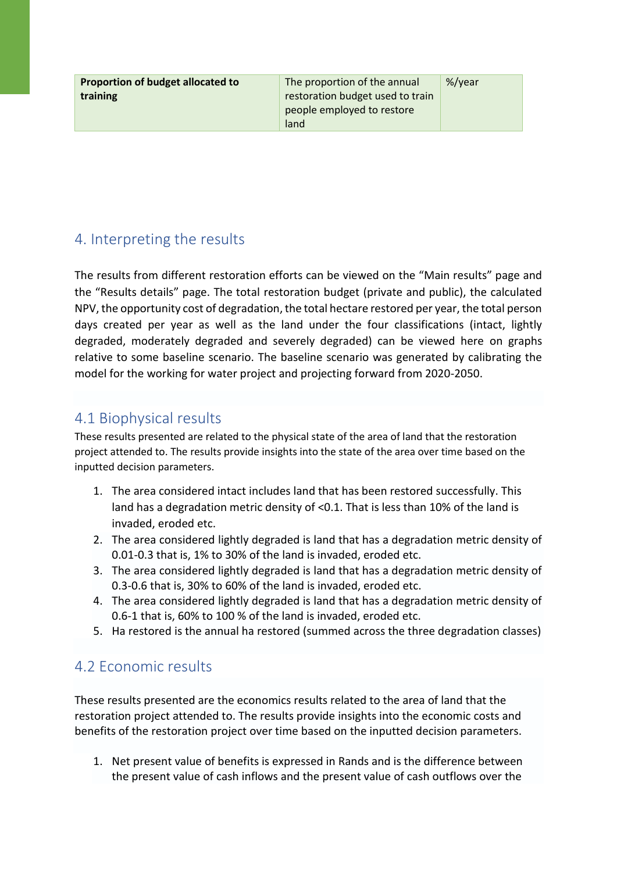**Proportion of budget allocated to training**

The proportion of the annual restoration budget used to train people employed to restore land %/year

## 4. Interpreting the results

The results from different restoration efforts can be viewed on the "Main results" page and the "Results details" page. The total restoration budget (private and public), the calculated NPV, the opportunity cost of degradation, the total hectare restored per year, the total person days created per year as well as the land under the four classifications (intact, lightly degraded, moderately degraded and severely degraded) can be viewed here on graphs relative to some baseline scenario. The baseline scenario was generated by calibrating the model for the working for water project and projecting forward from 2020-2050.

## 4.1 Biophysical results

These results presented are related to the physical state of the area of land that the restoration project attended to. The results provide insights into the state of the area over time based on the inputted decision parameters.

- 1. The area considered intact includes land that has been restored successfully. This land has a degradation metric density of <0.1. That is less than 10% of the land is invaded, eroded etc.
- 2. The area considered lightly degraded is land that has a degradation metric density of 0.01-0.3 that is, 1% to 30% of the land is invaded, eroded etc.
- 3. The area considered lightly degraded is land that has a degradation metric density of 0.3-0.6 that is, 30% to 60% of the land is invaded, eroded etc.
- 4. The area considered lightly degraded is land that has a degradation metric density of 0.6-1 that is, 60% to 100 % of the land is invaded, eroded etc.
- 5. Ha restored is the annual ha restored (summed across the three degradation classes)

## 4.2 Economic results

These results presented are the economics results related to the area of land that the restoration project attended to. The results provide insights into the economic costs and benefits of the restoration project over time based on the inputted decision parameters.

1. Net present value of benefits is expressed in Rands and is the difference between the present value of cash inflows and the present value of cash outflows over the